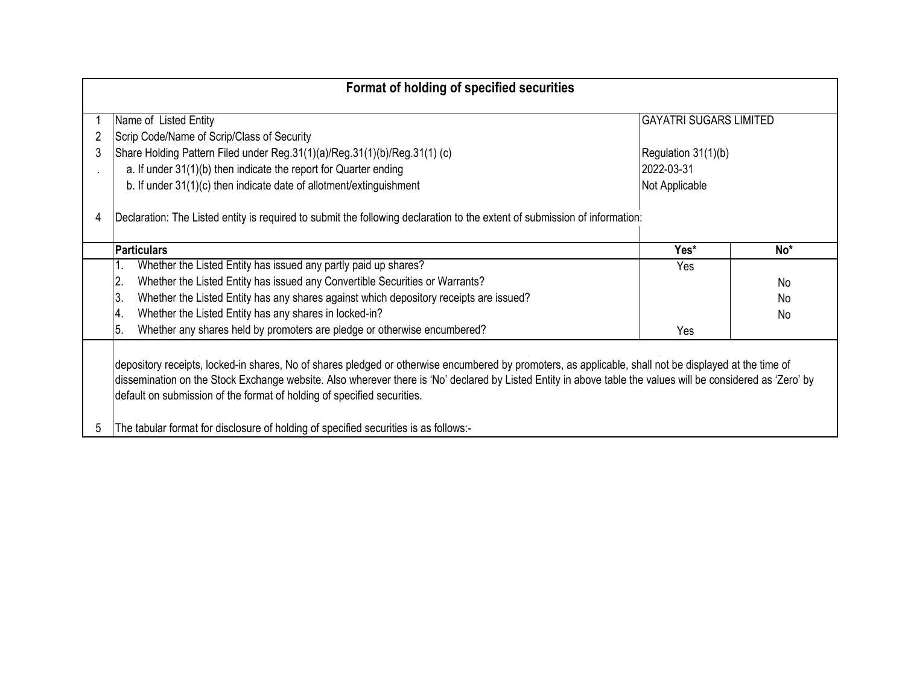| Format of holding of specified securities                                                                                                                                                                                                                                                                                                                                                         |                               |           |
|---------------------------------------------------------------------------------------------------------------------------------------------------------------------------------------------------------------------------------------------------------------------------------------------------------------------------------------------------------------------------------------------------|-------------------------------|-----------|
| Name of Listed Entity                                                                                                                                                                                                                                                                                                                                                                             | <b>GAYATRI SUGARS LIMITED</b> |           |
| Scrip Code/Name of Scrip/Class of Security                                                                                                                                                                                                                                                                                                                                                        |                               |           |
| 3<br>Share Holding Pattern Filed under Reg. 31(1)(a)/Reg. 31(1)(b)/Reg. 31(1) (c)                                                                                                                                                                                                                                                                                                                 | Regulation 31(1)(b)           |           |
| a. If under 31(1)(b) then indicate the report for Quarter ending                                                                                                                                                                                                                                                                                                                                  | 2022-03-31                    |           |
| b. If under 31(1)(c) then indicate date of allotment/extinguishment                                                                                                                                                                                                                                                                                                                               | Not Applicable                |           |
| Declaration: The Listed entity is required to submit the following declaration to the extent of submission of information:<br>4<br><b>Particulars</b>                                                                                                                                                                                                                                             | Yes*                          | $No*$     |
| Whether the Listed Entity has issued any partly paid up shares?                                                                                                                                                                                                                                                                                                                                   | Yes                           |           |
| Whether the Listed Entity has issued any Convertible Securities or Warrants?<br>2.                                                                                                                                                                                                                                                                                                                |                               | No.       |
| Whether the Listed Entity has any shares against which depository receipts are issued?<br>3.                                                                                                                                                                                                                                                                                                      |                               | No.       |
| Whether the Listed Entity has any shares in locked-in?<br>4.                                                                                                                                                                                                                                                                                                                                      |                               | <b>No</b> |
| Whether any shares held by promoters are pledge or otherwise encumbered?<br>5.                                                                                                                                                                                                                                                                                                                    | Yes                           |           |
| depository receipts, locked-in shares, No of shares pledged or otherwise encumbered by promoters, as applicable, shall not be displayed at the time of<br>dissemination on the Stock Exchange website. Also wherever there is 'No' declared by Listed Entity in above table the values will be considered as 'Zero' by<br>default on submission of the format of holding of specified securities. |                               |           |
| The tabular format for disclosure of holding of specified securities is as follows:-<br>5                                                                                                                                                                                                                                                                                                         |                               |           |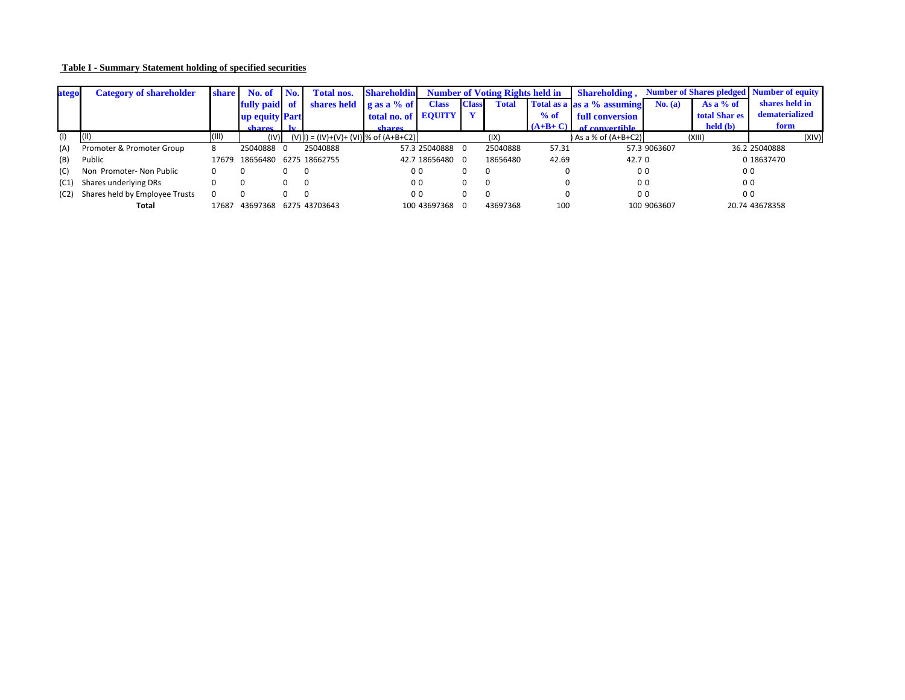| <b>Table I - Summary Statement holding of specified securities</b> |  |
|--------------------------------------------------------------------|--|
|                                                                    |  |

| ategol | <b>Category of shareholder</b> | share 1 | No. of                | No.       | <b>Total nos.</b>                     | <b>Shareholdin</b>         |                 | <b>Number of Voting Rights held in</b> |              | <b>Shareholding,</b> | <b>Number of Shares pledged   Number of equity  </b> |              |                           |                |
|--------|--------------------------------|---------|-----------------------|-----------|---------------------------------------|----------------------------|-----------------|----------------------------------------|--------------|----------------------|------------------------------------------------------|--------------|---------------------------|----------------|
|        |                                |         | <b>fully</b> paid     | <b>of</b> | shares held                           | $\left  \right $ as a % of | <b>Class</b>    | <b>Class</b>                           | <b>Total</b> |                      | Total as a as a % assuming                           | No. (a)      | As a $%$ of               | shares held in |
|        |                                |         | <b>up equity Part</b> |           |                                       | <b>total no. of EQUITY</b> |                 |                                        |              | $%$ of               | <b>full conversion</b>                               |              | <b>total Shar es</b>      | dematerialized |
|        |                                |         | shares                |           |                                       | <b>shares</b>              |                 |                                        |              | $(A+B+C)$            | of convertible                                       |              | $\text{held}(\textbf{b})$ | form           |
|        | (II)                           | ,III)   | (IV)                  |           | (V) l) = (IV)+(V)+ (VI) % of (A+B+C2) |                            |                 |                                        | (IX,         |                      | As a % of $(A+B+C2)$                                 |              | (XIII)                    | (XIV)          |
| (A)    | Promoter & Promoter Group      |         | 25040888 0            |           | 25040888                              |                            | 57.3 25040888   |                                        | 25040888     | 57.31                |                                                      | 57.3 9063607 |                           | 36.2 25040888  |
| (B)    | Public                         | 17679   | 18656480              |           | 6275 18662755                         |                            | 42.7 18656480 0 |                                        | 18656480     | 42.69                | 42.70                                                |              |                           | 0 18637470     |
| (C)    | Non Promoter-Non Public        |         | 0                     | 0         |                                       |                            | 00              |                                        |              |                      | 0 <sub>0</sub>                                       |              | 0 <sub>0</sub>            |                |
| (C1)   | Shares underlying DRs          |         |                       | 0         | - 0                                   |                            | 0 <sub>0</sub>  |                                        |              |                      | 0 <sub>0</sub>                                       |              | 0 <sub>0</sub>            |                |
| (C2)   | Shares held by Employee Trusts |         | $\Omega$              | 0         | - 0                                   |                            | 0 <sub>0</sub>  |                                        |              |                      | 0 <sub>0</sub>                                       |              | 0 <sub>0</sub>            |                |
|        | <b>Total</b>                   | L7687   | 43697368              |           | 6275 43703643                         |                            | 100 43697368    |                                        | 43697368     | 100                  |                                                      | 100 9063607  |                           | 20.74 43678358 |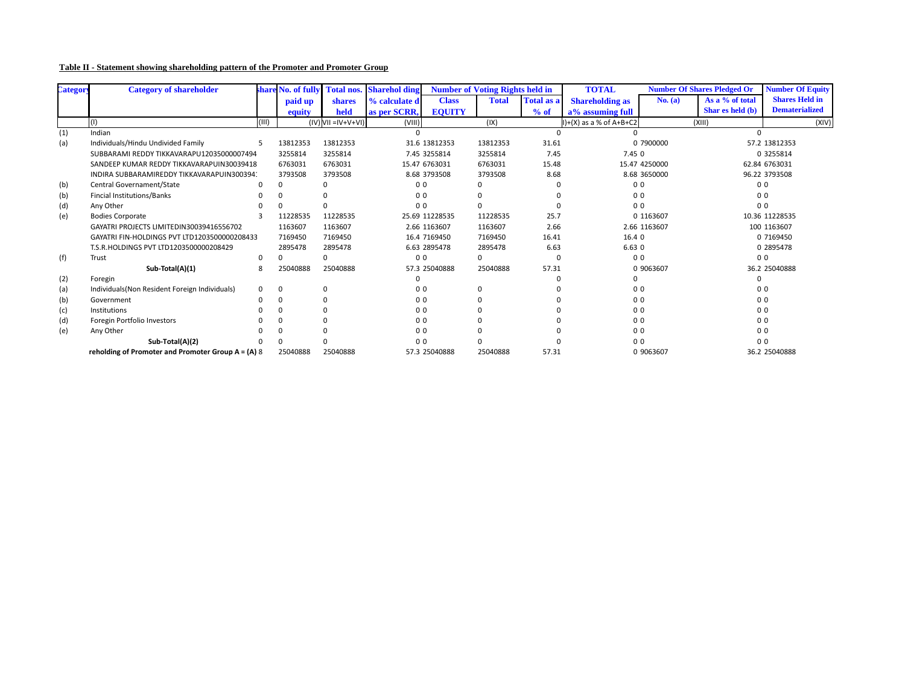| Table II - Statement showing shareholding pattern of the Promoter and Promoter Group |  |  |
|--------------------------------------------------------------------------------------|--|--|
|                                                                                      |  |  |

| Category | <b>Category of shareholder</b>                       |          | share No. of fully | <b>Total nos.</b>         | <b>Sharehol ding</b> |                | <b>Number of Voting Rights held in</b> |                   | <b>TOTAL</b>               | <b>Number Of Shares Pledged Or</b> |                  | <b>Number Of Equity</b> |
|----------|------------------------------------------------------|----------|--------------------|---------------------------|----------------------|----------------|----------------------------------------|-------------------|----------------------------|------------------------------------|------------------|-------------------------|
|          |                                                      |          | paid up            | shares                    | % calculate d        | <b>Class</b>   | <b>Total</b>                           | <b>Total as a</b> | <b>Shareholding as</b>     | No. (a)                            | As a % of total  | <b>Shares Held in</b>   |
|          |                                                      |          | equity             | held                      | as per SCRR,         | <b>EQUITY</b>  |                                        | % of              | a% assuming full           |                                    | Shar es held (b) | <b>Dematerialized</b>   |
|          | (1)                                                  | (III)    |                    | $(IV)$ VII = IV + V + VI) | (VIII)               |                | (IX)                                   |                   | $I$ )+(X) as a % of A+B+C2 |                                    | (XIII)           | (XIV)                   |
| (1)      | Indian                                               |          |                    |                           |                      |                |                                        |                   |                            |                                    |                  |                         |
| (a)      | Individuals/Hindu Undivided Family                   | .5       | 13812353           | 13812353                  |                      | 31.6 13812353  | 13812353                               | 31.61             |                            | 0 7900000                          |                  | 57.2 13812353           |
|          | SUBBARAMI REDDY TIKKAVARAPU12035000007494            |          | 3255814            | 3255814                   |                      | 7.45 3255814   | 3255814                                | 7.45              | 7.450                      |                                    |                  | 0 3255814               |
|          | SANDEEP KUMAR REDDY TIKKAVARAPUIN30039418            |          | 6763031            | 6763031                   |                      | 15.47 6763031  | 6763031                                | 15.48             |                            | 15.47 4250000                      |                  | 62.84 6763031           |
|          | INDIRA SUBBARAMIREDDY TIKKAVARAPUIN300394.           |          | 3793508            | 3793508                   |                      | 8.68 3793508   | 3793508                                | 8.68              |                            | 8.68 3650000                       | 96.22 3793508    |                         |
| (b)      | <b>Central Governament/State</b>                     |          | $\Omega$           |                           | 0 <sub>0</sub>       |                |                                        |                   | 0 <sub>0</sub>             |                                    |                  | 0 <sub>0</sub>          |
| (b)      | <b>Fincial Institutions/Banks</b>                    |          |                    |                           | 0 <sub>0</sub>       |                |                                        |                   | 0 <sub>0</sub>             |                                    |                  | 0 <sub>0</sub>          |
| (d)      | Any Other                                            |          |                    |                           | 0 <sub>0</sub>       |                |                                        |                   | 0 <sub>0</sub>             |                                    |                  | 0 <sub>0</sub>          |
| (e)      | <b>Bodies Corporate</b>                              |          | 11228535           | 11228535                  |                      | 25.69 11228535 | 11228535                               | 25.7              |                            | 0 1163607                          |                  | 10.36 11228535          |
|          | GAYATRI PROJECTS LIMITEDIN30039416556702             |          | 1163607            | 1163607                   |                      | 2.66 1163607   | 1163607                                | 2.66              |                            | 2.66 1163607                       |                  | 100 1163607             |
|          | GAYATRI FIN-HOLDINGS PVT LTD1203500000208433         |          | 7169450            | 7169450                   |                      | 16.4 7169450   | 7169450                                | 16.41             | 16.4 0                     |                                    |                  | 0 7169450               |
|          | T.S.R.HOLDINGS PVT LTD1203500000208429               |          | 2895478            | 2895478                   |                      | 6.63 2895478   | 2895478                                | 6.63              | 6.630                      |                                    |                  | 0 2895478               |
| (f)      | Trust                                                | 0        |                    |                           | 0 <sub>0</sub>       |                | $\mathbf{0}$                           | $\Omega$          | 0 <sub>0</sub>             |                                    |                  | 0 <sub>0</sub>          |
|          | Sub-Total(A)(1)                                      | 8        | 25040888           | 25040888                  |                      | 57.3 25040888  | 25040888                               | 57.31             |                            | 0 9063607                          |                  | 36.2 25040888           |
| (2)      | Foregin                                              |          |                    |                           |                      |                |                                        |                   | 0                          |                                    | $\Omega$         |                         |
| (a)      | Individuals (Non Resident Foreign Individuals)       | $\Omega$ | $\mathbf{0}$       |                           | 0 <sub>0</sub>       |                | $\Omega$                               |                   | 0 <sub>0</sub>             |                                    |                  | 0 <sub>0</sub>          |
| (b)      | Government                                           |          | $\Omega$           |                           | 0 <sub>0</sub>       |                |                                        |                   | 0 <sub>0</sub>             |                                    |                  | 0 <sub>0</sub>          |
| (c)      | Institutions                                         |          |                    |                           | 0 <sub>0</sub>       |                |                                        |                   | 0 <sub>0</sub>             |                                    |                  | 0 <sub>0</sub>          |
| (d)      | Foregin Portfolio Investors                          |          |                    |                           | 0 <sub>0</sub>       |                |                                        |                   | 0 <sub>0</sub>             |                                    |                  | 0 <sub>0</sub>          |
| (e)      | Any Other                                            |          |                    |                           | 0 <sub>0</sub>       |                |                                        |                   | 0 <sub>0</sub>             |                                    |                  | 0 <sub>0</sub>          |
|          | Sub-Total(A)(2)                                      |          |                    |                           | 0 <sub>0</sub>       |                |                                        |                   | 0 <sub>0</sub>             |                                    |                  | 0 <sub>0</sub>          |
|          | reholding of Promoter and Promoter Group $A = (A) 8$ |          | 25040888           | 25040888                  |                      | 57.3 25040888  | 25040888                               | 57.31             |                            | 0 9063607                          |                  | 36.2 25040888           |